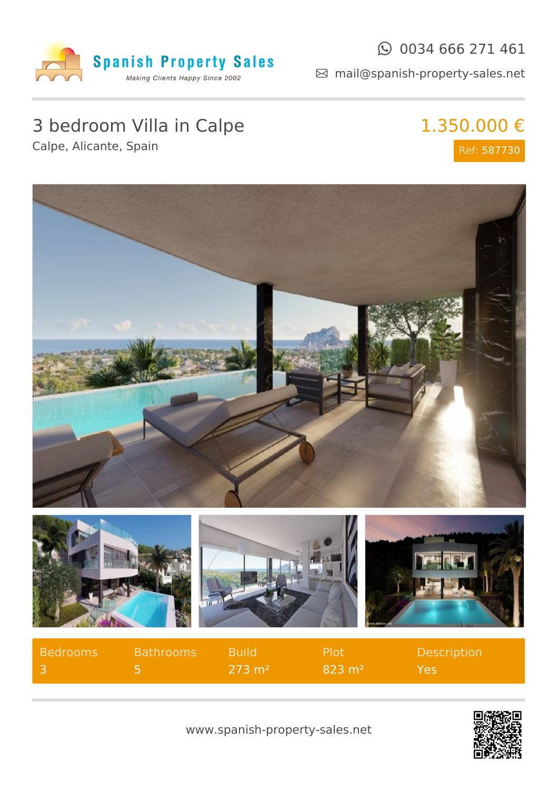

### $\odot$  0034 666 271 461

mail@spanish-property-sales.net

# 3 bedroom Villa in Calpe

Calpe, Alicante, Spain

### 1.350.000 € Ref: 587730



| <b>Bedrooms</b> | Bathrooms | <b>Build</b>      | Plot <sup>1</sup> | <b>Description</b> |
|-----------------|-----------|-------------------|-------------------|--------------------|
|                 |           | $273 \text{ m}^2$ | $823 \text{ m}^2$ | Yes                |



www.spanish-property-sales.net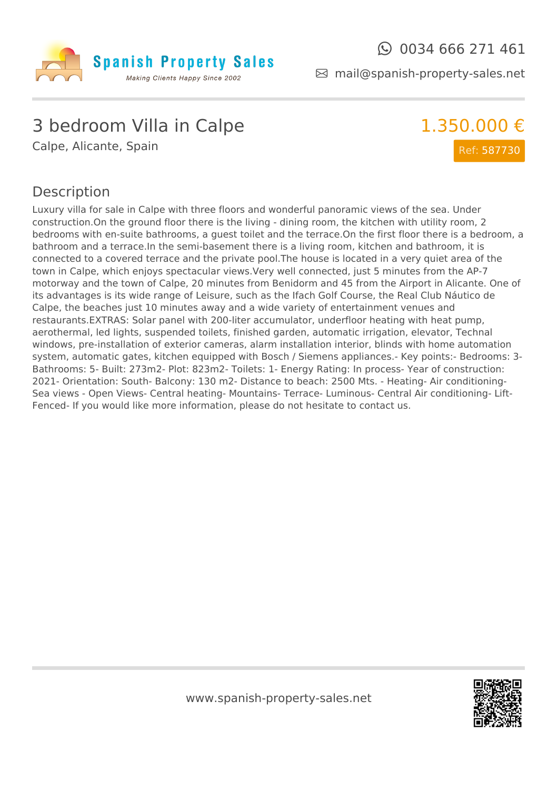

mail@spanish-property-sales.net

## 3 bedroom Villa in Calpe

Calpe, Alicante, Spain

### 1.350.000 € Ref: 587730

#### Description

Luxury villa for sale in Calpe with three floors and wonderful panoramic views of the sea. Under construction.On the ground floor there is the living - dining room, the kitchen with utility room, 2 bedrooms with en-suite bathrooms, a guest toilet and the terrace.On the first floor there is a bedroom, a bathroom and a terrace.In the semi-basement there is a living room, kitchen and bathroom, it is connected to a covered terrace and the private pool.The house is located in a very quiet area of the town in Calpe, which enjoys spectacular views.Very well connected, just 5 minutes from the AP-7 motorway and the town of Calpe, 20 minutes from Benidorm and 45 from the Airport in Alicante. One of its advantages is its wide range of Leisure, such as the Ifach Golf Course, the Real Club Náutico de Calpe, the beaches just 10 minutes away and a wide variety of entertainment venues and restaurants.EXTRAS: Solar panel with 200-liter accumulator, underfloor heating with heat pump, aerothermal, led lights, suspended toilets, finished garden, automatic irrigation, elevator, Technal windows, pre-installation of exterior cameras, alarm installation interior, blinds with home automation system, automatic gates, kitchen equipped with Bosch / Siemens appliances.- Key points:- Bedrooms: 3- Bathrooms: 5- Built: 273m2- Plot: 823m2- Toilets: 1- Energy Rating: In process- Year of construction: 2021- Orientation: South- Balcony: 130 m2- Distance to beach: 2500 Mts. - Heating- Air conditioning-Sea views - Open Views- Central heating- Mountains- Terrace- Luminous- Central Air conditioning- Lift-Fenced- If you would like more information, please do not hesitate to contact us.